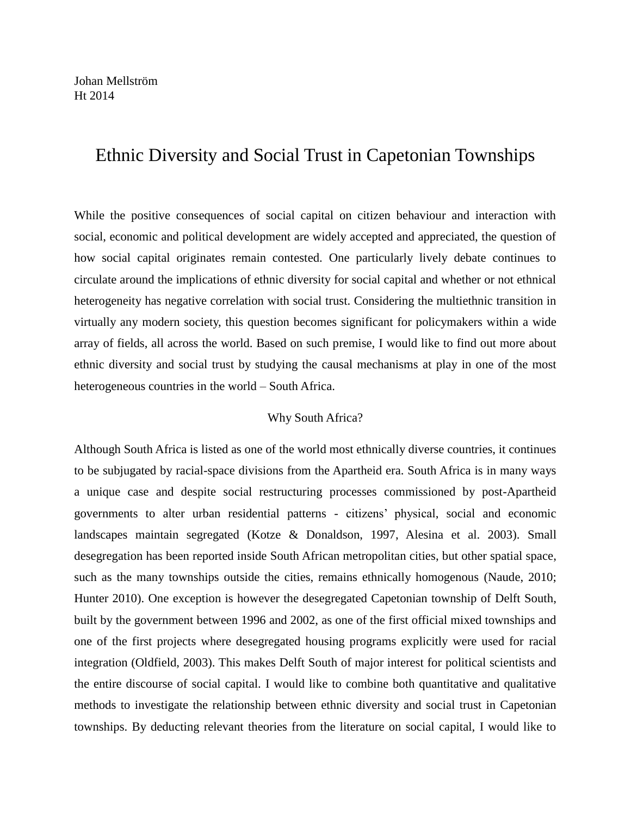# Ethnic Diversity and Social Trust in Capetonian Townships

While the positive consequences of social capital on citizen behaviour and interaction with social, economic and political development are widely accepted and appreciated, the question of how social capital originates remain contested. One particularly lively debate continues to circulate around the implications of ethnic diversity for social capital and whether or not ethnical heterogeneity has negative correlation with social trust. Considering the multiethnic transition in virtually any modern society, this question becomes significant for policymakers within a wide array of fields, all across the world. Based on such premise, I would like to find out more about ethnic diversity and social trust by studying the causal mechanisms at play in one of the most heterogeneous countries in the world – South Africa.

## Why South Africa?

Although South Africa is listed as one of the world most ethnically diverse countries, it continues to be subjugated by racial-space divisions from the Apartheid era. South Africa is in many ways a unique case and despite social restructuring processes commissioned by post-Apartheid governments to alter urban residential patterns - citizens' physical, social and economic landscapes maintain segregated (Kotze & Donaldson, 1997, Alesina et al. 2003). Small desegregation has been reported inside South African metropolitan cities, but other spatial space, such as the many townships outside the cities, remains ethnically homogenous (Naude, 2010; Hunter 2010). One exception is however the desegregated Capetonian township of Delft South, built by the government between 1996 and 2002, as one of the first official mixed townships and one of the first projects where desegregated housing programs explicitly were used for racial integration (Oldfield, 2003). This makes Delft South of major interest for political scientists and the entire discourse of social capital. I would like to combine both quantitative and qualitative methods to investigate the relationship between ethnic diversity and social trust in Capetonian townships. By deducting relevant theories from the literature on social capital, I would like to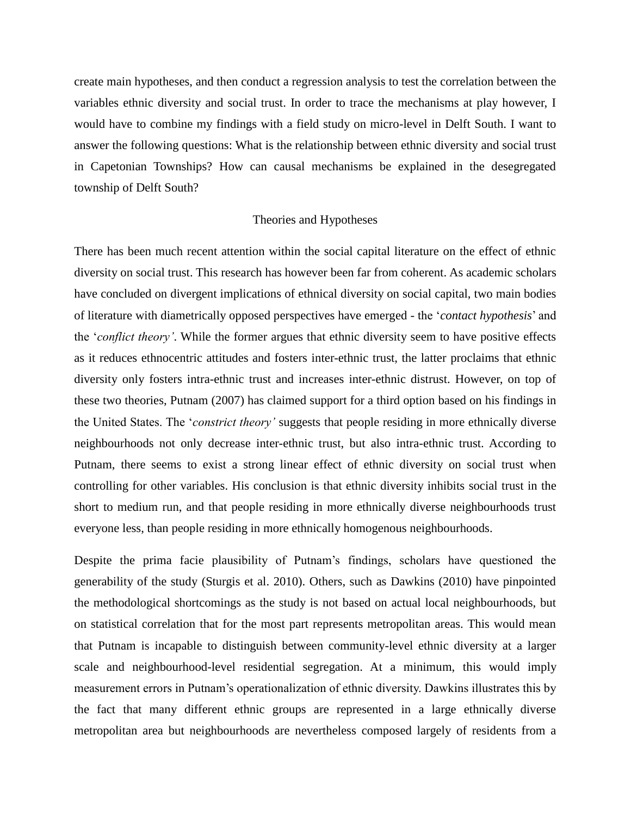create main hypotheses, and then conduct a regression analysis to test the correlation between the variables ethnic diversity and social trust. In order to trace the mechanisms at play however, I would have to combine my findings with a field study on micro-level in Delft South. I want to answer the following questions: What is the relationship between ethnic diversity and social trust in Capetonian Townships? How can causal mechanisms be explained in the desegregated township of Delft South?

#### Theories and Hypotheses

There has been much recent attention within the social capital literature on the effect of ethnic diversity on social trust. This research has however been far from coherent. As academic scholars have concluded on divergent implications of ethnical diversity on social capital, two main bodies of literature with diametrically opposed perspectives have emerged - the '*contact hypothesis*' and the '*conflict theory'*. While the former argues that ethnic diversity seem to have positive effects as it reduces ethnocentric attitudes and fosters inter-ethnic trust, the latter proclaims that ethnic diversity only fosters intra-ethnic trust and increases inter-ethnic distrust. However, on top of these two theories, Putnam (2007) has claimed support for a third option based on his findings in the United States. The '*constrict theory'* suggests that people residing in more ethnically diverse neighbourhoods not only decrease inter-ethnic trust, but also intra-ethnic trust. According to Putnam, there seems to exist a strong linear effect of ethnic diversity on social trust when controlling for other variables. His conclusion is that ethnic diversity inhibits social trust in the short to medium run, and that people residing in more ethnically diverse neighbourhoods trust everyone less, than people residing in more ethnically homogenous neighbourhoods.

Despite the prima facie plausibility of Putnam's findings, scholars have questioned the generability of the study (Sturgis et al. 2010). Others, such as Dawkins (2010) have pinpointed the methodological shortcomings as the study is not based on actual local neighbourhoods, but on statistical correlation that for the most part represents metropolitan areas. This would mean that Putnam is incapable to distinguish between community-level ethnic diversity at a larger scale and neighbourhood-level residential segregation. At a minimum, this would imply measurement errors in Putnam's operationalization of ethnic diversity. Dawkins illustrates this by the fact that many different ethnic groups are represented in a large ethnically diverse metropolitan area but neighbourhoods are nevertheless composed largely of residents from a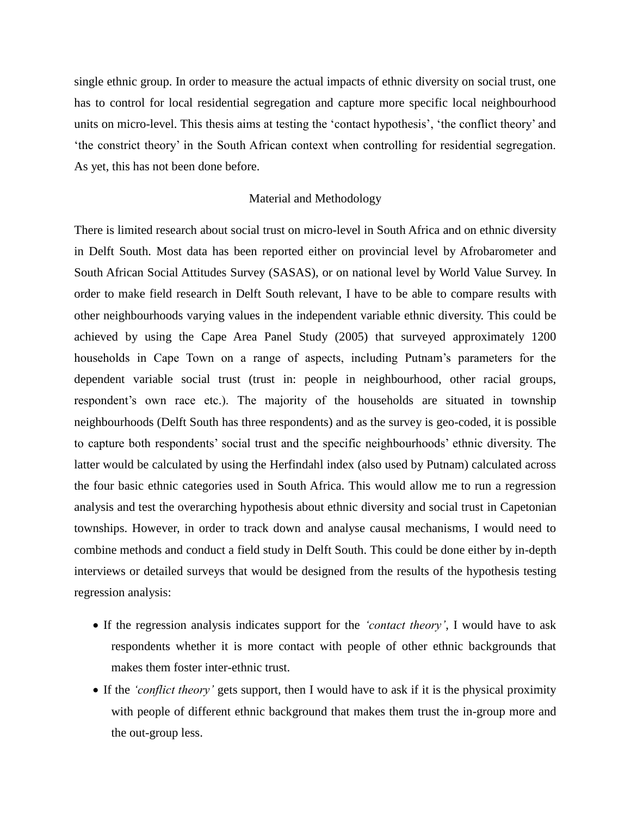single ethnic group. In order to measure the actual impacts of ethnic diversity on social trust, one has to control for local residential segregation and capture more specific local neighbourhood units on micro-level. This thesis aims at testing the 'contact hypothesis', 'the conflict theory' and 'the constrict theory' in the South African context when controlling for residential segregation. As yet, this has not been done before.

## Material and Methodology

There is limited research about social trust on micro-level in South Africa and on ethnic diversity in Delft South. Most data has been reported either on provincial level by Afrobarometer and South African Social Attitudes Survey (SASAS), or on national level by World Value Survey. In order to make field research in Delft South relevant, I have to be able to compare results with other neighbourhoods varying values in the independent variable ethnic diversity. This could be achieved by using the Cape Area Panel Study (2005) that surveyed approximately 1200 households in Cape Town on a range of aspects, including Putnam's parameters for the dependent variable social trust (trust in: people in neighbourhood, other racial groups, respondent's own race etc.). The majority of the households are situated in township neighbourhoods (Delft South has three respondents) and as the survey is geo-coded, it is possible to capture both respondents' social trust and the specific neighbourhoods' ethnic diversity. The latter would be calculated by using the Herfindahl index (also used by Putnam) calculated across the four basic ethnic categories used in South Africa. This would allow me to run a regression analysis and test the overarching hypothesis about ethnic diversity and social trust in Capetonian townships. However, in order to track down and analyse causal mechanisms, I would need to combine methods and conduct a field study in Delft South. This could be done either by in-depth interviews or detailed surveys that would be designed from the results of the hypothesis testing regression analysis:

- If the regression analysis indicates support for the *'contact theory'*, I would have to ask respondents whether it is more contact with people of other ethnic backgrounds that makes them foster inter-ethnic trust.
- If the *'conflict theory'* gets support, then I would have to ask if it is the physical proximity with people of different ethnic background that makes them trust the in-group more and the out-group less.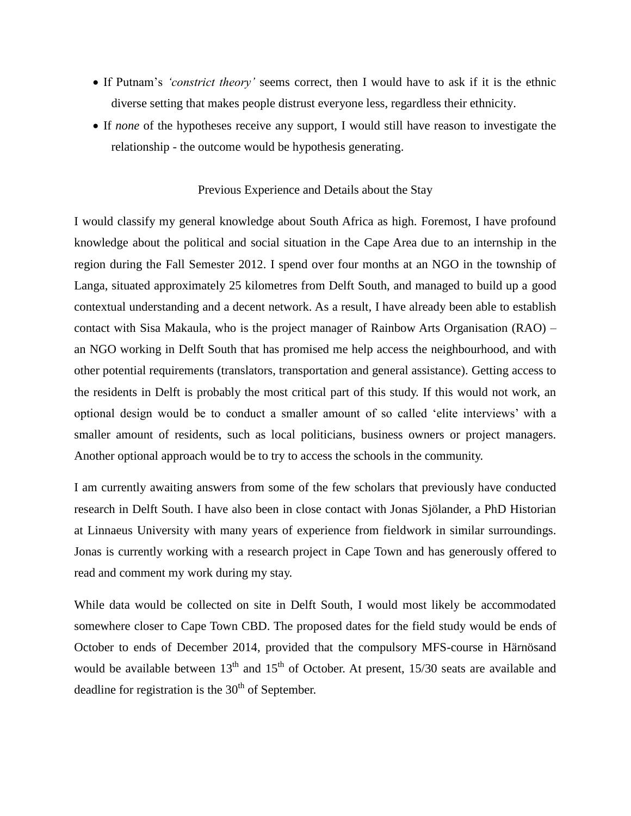- If Putnam's *'constrict theory'* seems correct, then I would have to ask if it is the ethnic diverse setting that makes people distrust everyone less, regardless their ethnicity.
- If *none* of the hypotheses receive any support, I would still have reason to investigate the relationship - the outcome would be hypothesis generating.

## Previous Experience and Details about the Stay

I would classify my general knowledge about South Africa as high. Foremost, I have profound knowledge about the political and social situation in the Cape Area due to an internship in the region during the Fall Semester 2012. I spend over four months at an NGO in the township of Langa, situated approximately 25 kilometres from Delft South, and managed to build up a good contextual understanding and a decent network. As a result, I have already been able to establish contact with Sisa Makaula, who is the project manager of Rainbow Arts Organisation (RAO) – an NGO working in Delft South that has promised me help access the neighbourhood, and with other potential requirements (translators, transportation and general assistance). Getting access to the residents in Delft is probably the most critical part of this study. If this would not work, an optional design would be to conduct a smaller amount of so called 'elite interviews' with a smaller amount of residents, such as local politicians, business owners or project managers. Another optional approach would be to try to access the schools in the community.

I am currently awaiting answers from some of the few scholars that previously have conducted research in Delft South. I have also been in close contact with Jonas Sjölander, a PhD Historian at Linnaeus University with many years of experience from fieldwork in similar surroundings. Jonas is currently working with a research project in Cape Town and has generously offered to read and comment my work during my stay.

While data would be collected on site in Delft South, I would most likely be accommodated somewhere closer to Cape Town CBD. The proposed dates for the field study would be ends of October to ends of December 2014, provided that the compulsory MFS-course in Härnösand would be available between  $13<sup>th</sup>$  and  $15<sup>th</sup>$  of October. At present,  $15/30$  seats are available and deadline for registration is the  $30<sup>th</sup>$  of September.